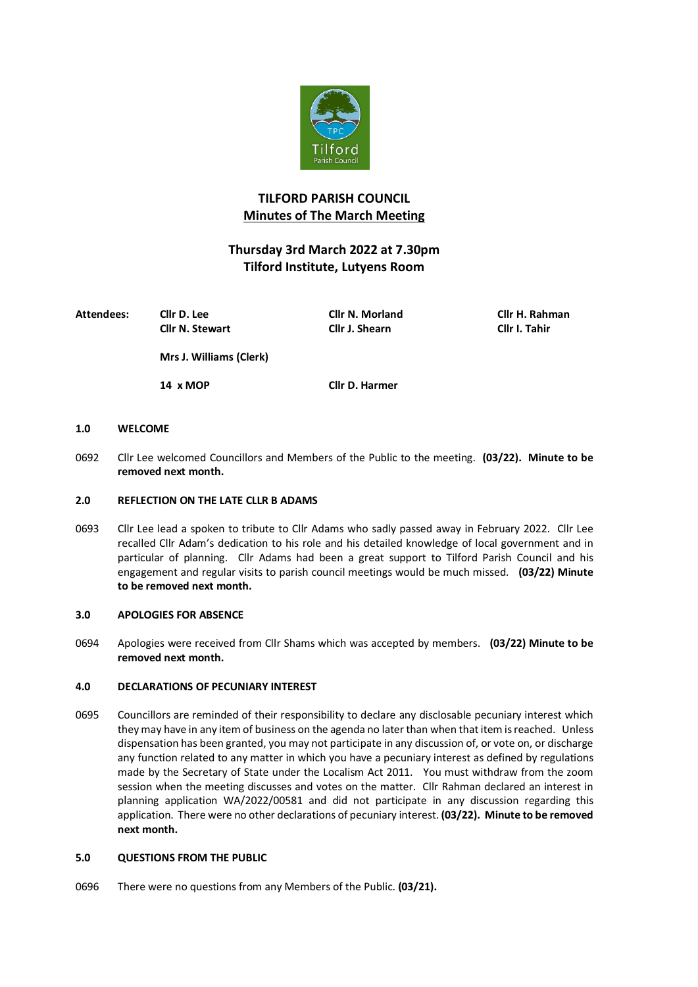

# **TILFORD PARISH COUNCIL Minutes of The March Meeting**

# **Thursday 3rd March 2022 at 7.30pm Tilford Institute, Lutyens Room**

| Attendees: | Cllr D. Lee             | Cllr N. Morland | Cllr H. Rahman |  |  |
|------------|-------------------------|-----------------|----------------|--|--|
|            | <b>Cllr N. Stewart</b>  | Cllr J. Shearn  | Cllr I. Tahir  |  |  |
|            | Mrs J. Williams (Clerk) |                 |                |  |  |
|            | 14 x MOP                | Cllr D. Harmer  |                |  |  |

# **1.0 WELCOME**

0692 Cllr Lee welcomed Councillors and Members of the Public to the meeting. **(03/22). Minute to be removed next month.**

# **2.0 REFLECTION ON THE LATE CLLR B ADAMS**

0693 Cllr Lee lead a spoken to tribute to Cllr Adams who sadly passed away in February 2022. Cllr Lee recalled Cllr Adam's dedication to his role and his detailed knowledge of local government and in particular of planning. Cllr Adams had been a great support to Tilford Parish Council and his engagement and regular visits to parish council meetings would be much missed. **(03/22) Minute to be removed next month.**

# **3.0 APOLOGIES FOR ABSENCE**

0694 Apologies were received from Cllr Shams which was accepted by members. **(03/22) Minute to be removed next month.**

# **4.0 DECLARATIONS OF PECUNIARY INTEREST**

0695 Councillors are reminded of their responsibility to declare any disclosable pecuniary interest which they may have in any item of business on the agenda no later than when that item is reached. Unless dispensation has been granted, you may not participate in any discussion of, or vote on, or discharge any function related to any matter in which you have a pecuniary interest as defined by regulations made by the Secretary of State under the Localism Act 2011. You must withdraw from the zoom session when the meeting discusses and votes on the matter. Cllr Rahman declared an interest in planning application WA/2022/00581 and did not participate in any discussion regarding this application. There were no other declarations of pecuniary interest. **(03/22). Minute to be removed next month.**

# **5.0 QUESTIONS FROM THE PUBLIC**

0696 There were no questions from any Members of the Public. **(03/21).**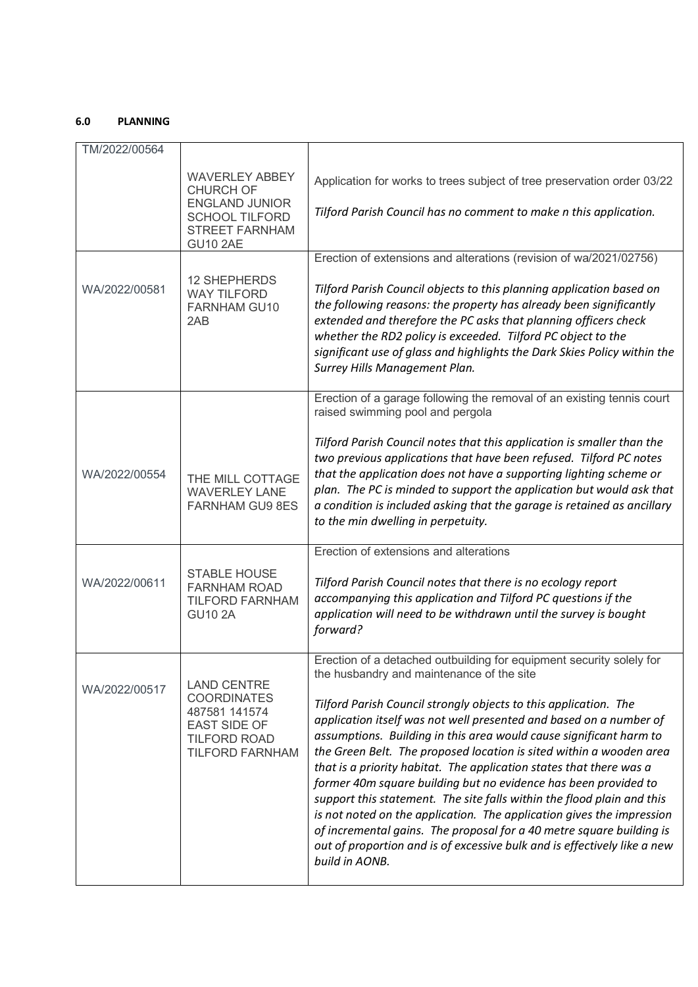# **6.0 PLANNING**

| TM/2022/00564 |                                                                                                                                  |                                                                                                                                                                                                                                                                                                                                                                                                                                                                                                                                                                                                                                                                                                                                                                                                                                                                             |
|---------------|----------------------------------------------------------------------------------------------------------------------------------|-----------------------------------------------------------------------------------------------------------------------------------------------------------------------------------------------------------------------------------------------------------------------------------------------------------------------------------------------------------------------------------------------------------------------------------------------------------------------------------------------------------------------------------------------------------------------------------------------------------------------------------------------------------------------------------------------------------------------------------------------------------------------------------------------------------------------------------------------------------------------------|
|               | <b>WAVERLEY ABBEY</b><br><b>CHURCH OF</b><br><b>ENGLAND JUNIOR</b><br><b>SCHOOL TILFORD</b><br>STREET FARNHAM<br><b>GU10 2AE</b> | Application for works to trees subject of tree preservation order 03/22<br>Tilford Parish Council has no comment to make n this application.                                                                                                                                                                                                                                                                                                                                                                                                                                                                                                                                                                                                                                                                                                                                |
|               |                                                                                                                                  | Erection of extensions and alterations (revision of wa/2021/02756)                                                                                                                                                                                                                                                                                                                                                                                                                                                                                                                                                                                                                                                                                                                                                                                                          |
| WA/2022/00581 | <b>12 SHEPHERDS</b><br><b>WAY TILFORD</b><br><b>FARNHAM GU10</b><br>2AB                                                          | Tilford Parish Council objects to this planning application based on<br>the following reasons: the property has already been significantly<br>extended and therefore the PC asks that planning officers check<br>whether the RD2 policy is exceeded. Tilford PC object to the<br>significant use of glass and highlights the Dark Skies Policy within the<br>Surrey Hills Management Plan.                                                                                                                                                                                                                                                                                                                                                                                                                                                                                  |
|               |                                                                                                                                  | Erection of a garage following the removal of an existing tennis court<br>raised swimming pool and pergola                                                                                                                                                                                                                                                                                                                                                                                                                                                                                                                                                                                                                                                                                                                                                                  |
| WA/2022/00554 | THE MILL COTTAGE<br><b>WAVERLEY LANE</b><br><b>FARNHAM GU9 8ES</b>                                                               | Tilford Parish Council notes that this application is smaller than the<br>two previous applications that have been refused. Tilford PC notes<br>that the application does not have a supporting lighting scheme or<br>plan. The PC is minded to support the application but would ask that<br>a condition is included asking that the garage is retained as ancillary<br>to the min dwelling in perpetuity.                                                                                                                                                                                                                                                                                                                                                                                                                                                                 |
|               |                                                                                                                                  | Erection of extensions and alterations                                                                                                                                                                                                                                                                                                                                                                                                                                                                                                                                                                                                                                                                                                                                                                                                                                      |
| WA/2022/00611 | <b>STABLE HOUSE</b><br><b>FARNHAM ROAD</b><br><b>TILFORD FARNHAM</b><br><b>GU10 2A</b>                                           | Tilford Parish Council notes that there is no ecology report<br>accompanying this application and Tilford PC questions if the<br>application will need to be withdrawn until the survey is bought<br>forward?                                                                                                                                                                                                                                                                                                                                                                                                                                                                                                                                                                                                                                                               |
| WA/2022/00517 | <b>LAND CENTRE</b><br><b>COORDINATES</b><br>487581 141574<br>EAST SIDE OF<br><b>TILFORD ROAD</b><br><b>TILFORD FARNHAM</b>       | Erection of a detached outbuilding for equipment security solely for<br>the husbandry and maintenance of the site<br>Tilford Parish Council strongly objects to this application. The<br>application itself was not well presented and based on a number of<br>assumptions. Building in this area would cause significant harm to<br>the Green Belt. The proposed location is sited within a wooden area<br>that is a priority habitat. The application states that there was a<br>former 40m square building but no evidence has been provided to<br>support this statement. The site falls within the flood plain and this<br>is not noted on the application. The application gives the impression<br>of incremental gains. The proposal for a 40 metre square building is<br>out of proportion and is of excessive bulk and is effectively like a new<br>build in AONB. |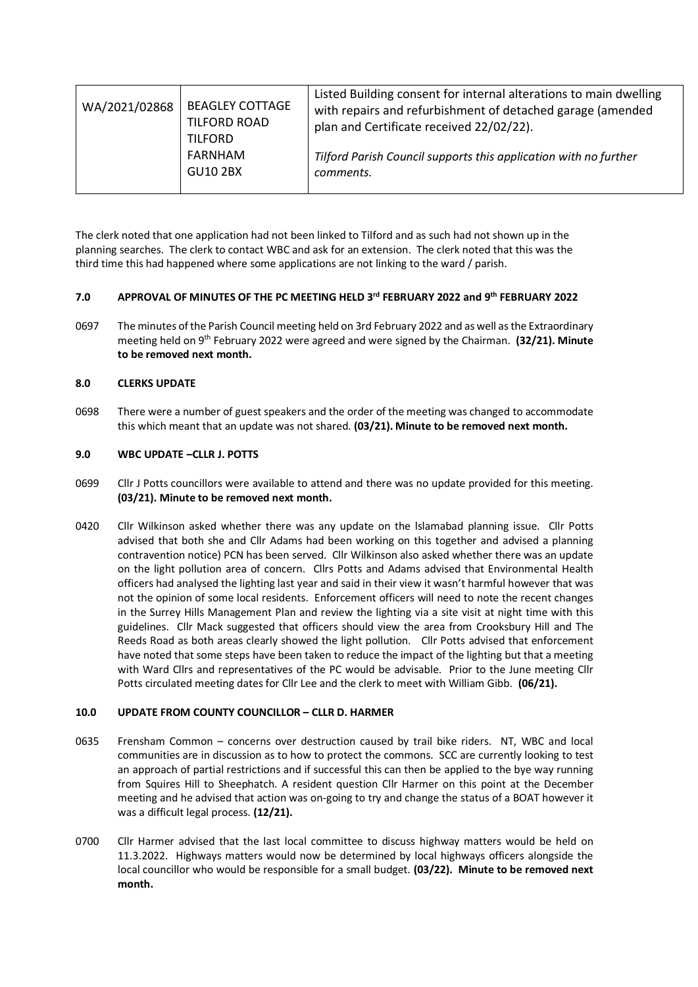| <b>BEAGLEY COTTAGE</b><br>WA/2021/02868<br>TILFORD ROAD<br><b>TILFORD</b><br>FARNHAM<br><b>GU10 2BX</b> | Listed Building consent for internal alterations to main dwelling<br>with repairs and refurbishment of detached garage (amended<br>plan and Certificate received 22/02/22).<br>Tilford Parish Council supports this application with no further<br>comments. |
|---------------------------------------------------------------------------------------------------------|--------------------------------------------------------------------------------------------------------------------------------------------------------------------------------------------------------------------------------------------------------------|
|---------------------------------------------------------------------------------------------------------|--------------------------------------------------------------------------------------------------------------------------------------------------------------------------------------------------------------------------------------------------------------|

The clerk noted that one application had not been linked to Tilford and as such had not shown up in the planning searches. The clerk to contact WBC and ask for an extension. The clerk noted that this was the third time this had happened where some applications are not linking to the ward / parish.

# **7.0 APPROVAL OF MINUTES OF THE PC MEETING HELD 3rd FEBRUARY 2022 and 9th FEBRUARY 2022**

0697 The minutes of the Parish Council meeting held on 3rd February 2022 and as well as the Extraordinary meeting held on 9th February 2022 were agreed and were signed by the Chairman. **(32/21). Minute to be removed next month.**

# **8.0 CLERKS UPDATE**

0698 There were a number of guest speakers and the order of the meeting was changed to accommodate this which meant that an update was not shared. **(03/21). Minute to be removed next month.**

## **9.0 WBC UPDATE –CLLR J. POTTS**

- 0699 Cllr J Potts councillors were available to attend and there was no update provided for this meeting. **(03/21). Minute to be removed next month.**
- 0420 Cllr Wilkinson asked whether there was any update on the lslamabad planning issue. Cllr Potts advised that both she and Cllr Adams had been working on this together and advised a planning contravention notice) PCN has been served. Cllr Wilkinson also asked whether there was an update on the light pollution area of concern. Cllrs Potts and Adams advised that Environmental Health officers had analysed the lighting last year and said in their view it wasn't harmful however that was not the opinion of some local residents. Enforcement officers will need to note the recent changes in the Surrey Hills Management Plan and review the lighting via a site visit at night time with this guidelines. Cllr Mack suggested that officers should view the area from Crooksbury Hill and The Reeds Road as both areas clearly showed the light pollution. Cllr Potts advised that enforcement have noted that some steps have been taken to reduce the impact of the lighting but that a meeting with Ward Cllrs and representatives of the PC would be advisable. Prior to the June meeting Cllr Potts circulated meeting dates for Cllr Lee and the clerk to meet with William Gibb. **(06/21).**

# **10.0 UPDATE FROM COUNTY COUNCILLOR – CLLR D. HARMER**

- 0635 Frensham Common concerns over destruction caused by trail bike riders. NT, WBC and local communities are in discussion as to how to protect the commons. SCC are currently looking to test an approach of partial restrictions and if successful this can then be applied to the bye way running from Squires Hill to Sheephatch. A resident question Cllr Harmer on this point at the December meeting and he advised that action was on-going to try and change the status of a BOAT however it was a difficult legal process. **(12/21).**
- 0700 Cllr Harmer advised that the last local committee to discuss highway matters would be held on 11.3.2022. Highways matters would now be determined by local highways officers alongside the local councillor who would be responsible for a small budget. **(03/22). Minute to be removed next month.**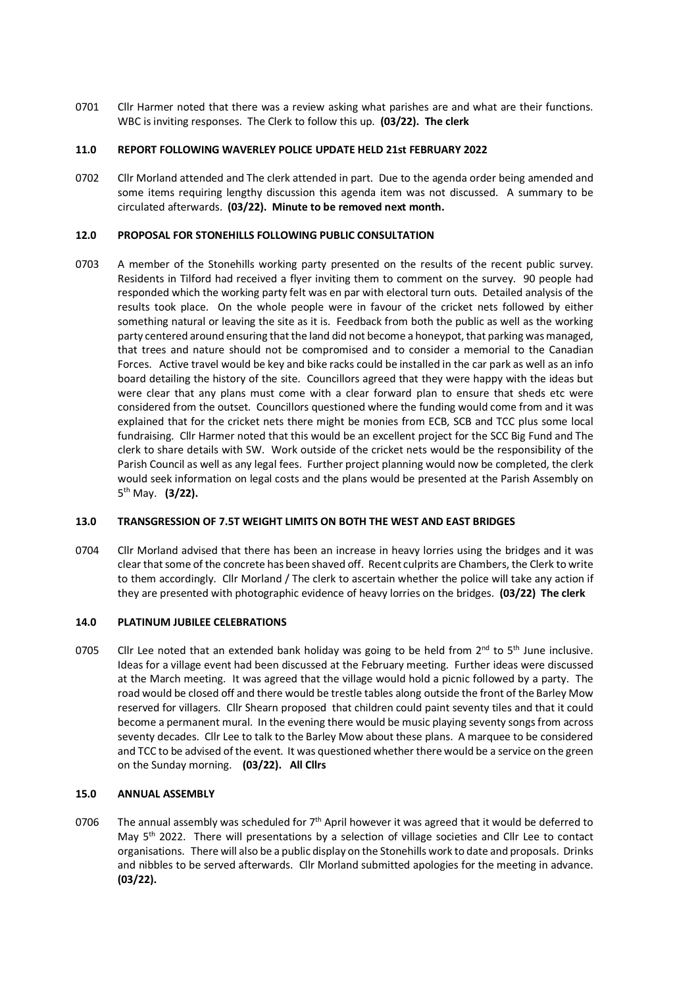0701 Cllr Harmer noted that there was a review asking what parishes are and what are their functions. WBC is inviting responses. The Clerk to follow this up. **(03/22). The clerk** 

## **11.0 REPORT FOLLOWING WAVERLEY POLICE UPDATE HELD 21st FEBRUARY 2022**

0702 Cllr Morland attended and The clerk attended in part. Due to the agenda order being amended and some items requiring lengthy discussion this agenda item was not discussed. A summary to be circulated afterwards. **(03/22). Minute to be removed next month.**

## **12.0 PROPOSAL FOR STONEHILLS FOLLOWING PUBLIC CONSULTATION**

0703 A member of the Stonehills working party presented on the results of the recent public survey. Residents in Tilford had received a flyer inviting them to comment on the survey. 90 people had responded which the working party felt was en par with electoral turn outs. Detailed analysis of the results took place. On the whole people were in favour of the cricket nets followed by either something natural or leaving the site as it is. Feedback from both the public as well as the working party centered around ensuring that the land did not become a honeypot, that parking was managed, that trees and nature should not be compromised and to consider a memorial to the Canadian Forces. Active travel would be key and bike racks could be installed in the car park as well as an info board detailing the history of the site. Councillors agreed that they were happy with the ideas but were clear that any plans must come with a clear forward plan to ensure that sheds etc were considered from the outset. Councillors questioned where the funding would come from and it was explained that for the cricket nets there might be monies from ECB, SCB and TCC plus some local fundraising. Cllr Harmer noted that this would be an excellent project for the SCC Big Fund and The clerk to share details with SW. Work outside of the cricket nets would be the responsibility of the Parish Council as well as any legal fees. Further project planning would now be completed, the clerk would seek information on legal costs and the plans would be presented at the Parish Assembly on 5th May. **(3/22).** 

# **13.0 TRANSGRESSION OF 7.5T WEIGHT LIMITS ON BOTH THE WEST AND EAST BRIDGES**

0704 Cllr Morland advised that there has been an increase in heavy lorries using the bridges and it was clear that some of the concrete has been shaved off. Recent culprits are Chambers, the Clerk to write to them accordingly. Cllr Morland / The clerk to ascertain whether the police will take any action if they are presented with photographic evidence of heavy lorries on the bridges. **(03/22) The clerk**

## **14.0 PLATINUM JUBILEE CELEBRATIONS**

0705 Cllr Lee noted that an extended bank holiday was going to be held from  $2^{nd}$  to 5<sup>th</sup> June inclusive. Ideas for a village event had been discussed at the February meeting. Further ideas were discussed at the March meeting. It was agreed that the village would hold a picnic followed by a party. The road would be closed off and there would be trestle tables along outside the front of the Barley Mow reserved for villagers. Cllr Shearn proposed that children could paint seventy tiles and that it could become a permanent mural. In the evening there would be music playing seventy songs from across seventy decades. Cllr Lee to talk to the Barley Mow about these plans. A marquee to be considered and TCC to be advised of the event. It was questioned whether there would be a service on the green on the Sunday morning. **(03/22). All Cllrs**

# **15.0 ANNUAL ASSEMBLY**

0706 The annual assembly was scheduled for  $7<sup>th</sup>$  April however it was agreed that it would be deferred to May 5<sup>th</sup> 2022. There will presentations by a selection of village societies and Cllr Lee to contact organisations. There will also be a public display on the Stonehills work to date and proposals. Drinks and nibbles to be served afterwards. Cllr Morland submitted apologies for the meeting in advance. **(03/22).**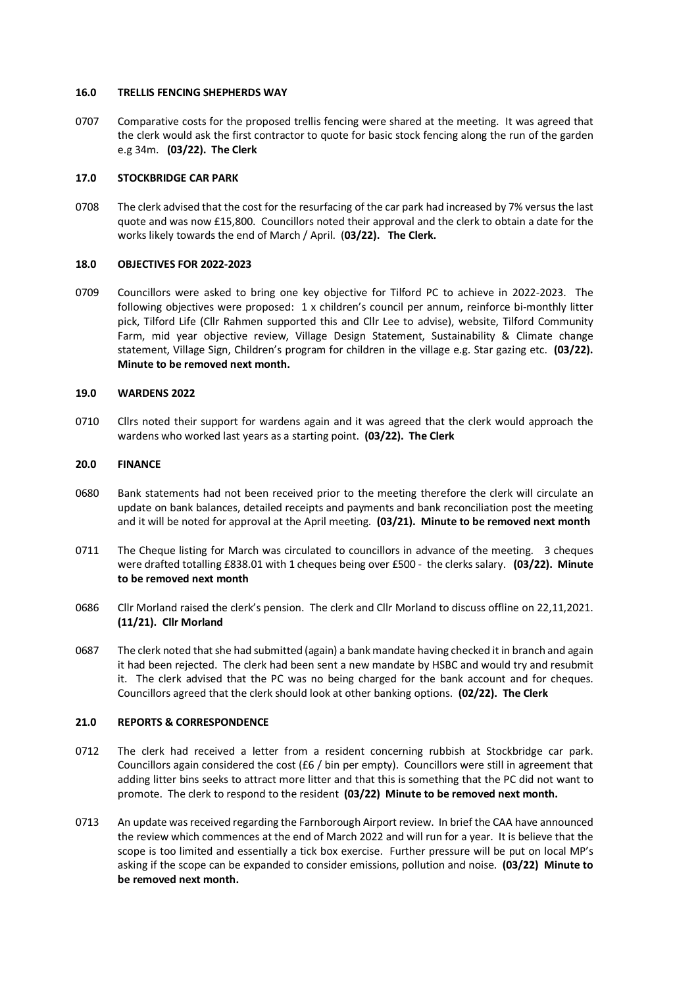#### **16.0 TRELLIS FENCING SHEPHERDS WAY**

0707 Comparative costs for the proposed trellis fencing were shared at the meeting. It was agreed that the clerk would ask the first contractor to quote for basic stock fencing along the run of the garden e.g 34m. **(03/22). The Clerk**

## **17.0 STOCKBRIDGE CAR PARK**

0708 The clerk advised that the cost for the resurfacing of the car park had increased by 7% versus the last quote and was now £15,800. Councillors noted their approval and the clerk to obtain a date for the works likely towards the end of March / April. (**03/22). The Clerk.**

## **18.0 OBJECTIVES FOR 2022-2023**

0709 Councillors were asked to bring one key objective for Tilford PC to achieve in 2022-2023. The following objectives were proposed: 1 x children's council per annum, reinforce bi-monthly litter pick, Tilford Life (Cllr Rahmen supported this and Cllr Lee to advise), website, Tilford Community Farm, mid year objective review, Village Design Statement, Sustainability & Climate change statement, Village Sign, Children's program for children in the village e.g. Star gazing etc. **(03/22). Minute to be removed next month.**

### **19.0 WARDENS 2022**

0710 Cllrs noted their support for wardens again and it was agreed that the clerk would approach the wardens who worked last years as a starting point. **(03/22). The Clerk**

#### **20.0 FINANCE**

- 0680 Bank statements had not been received prior to the meeting therefore the clerk will circulate an update on bank balances, detailed receipts and payments and bank reconciliation post the meeting and it will be noted for approval at the April meeting. **(03/21). Minute to be removed next month**
- 0711 The Cheque listing for March was circulated to councillors in advance of the meeting. 3 cheques were drafted totalling £838.01 with 1 cheques being over £500 - the clerks salary. **(03/22). Minute to be removed next month**
- 0686 Cllr Morland raised the clerk's pension. The clerk and Cllr Morland to discuss offline on 22,11,2021. **(11/21). Cllr Morland**
- 0687 The clerk noted that she had submitted (again) a bank mandate having checked it in branch and again it had been rejected. The clerk had been sent a new mandate by HSBC and would try and resubmit it. The clerk advised that the PC was no being charged for the bank account and for cheques. Councillors agreed that the clerk should look at other banking options. **(02/22). The Clerk**

#### **21.0 REPORTS & CORRESPONDENCE**

- 0712 The clerk had received a letter from a resident concerning rubbish at Stockbridge car park. Councillors again considered the cost (£6 / bin per empty). Councillors were still in agreement that adding litter bins seeks to attract more litter and that this is something that the PC did not want to promote. The clerk to respond to the resident **(03/22) Minute to be removed next month.**
- 0713 An update was received regarding the Farnborough Airport review. In brief the CAA have announced the review which commences at the end of March 2022 and will run for a year. It is believe that the scope is too limited and essentially a tick box exercise. Further pressure will be put on local MP's asking if the scope can be expanded to consider emissions, pollution and noise. **(03/22) Minute to be removed next month.**